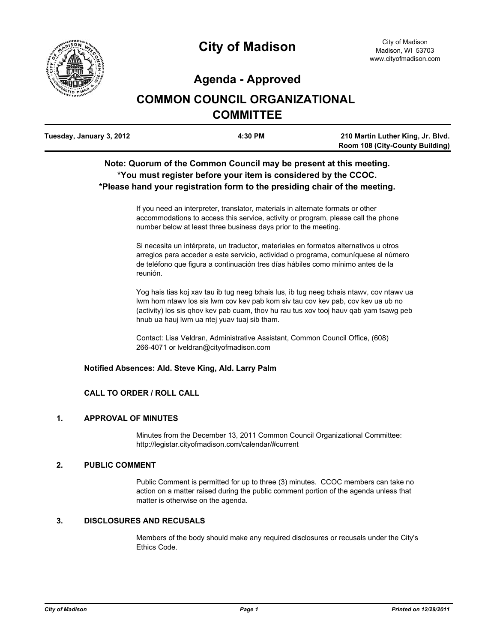

# **Agenda - Approved**

# **COMMON COUNCIL ORGANIZATIONAL COMMITTEE**

| Tuesday, January 3, 2012 | 4:30 PM | 210 Martin Luther King, Jr. Blvd.      |
|--------------------------|---------|----------------------------------------|
|                          |         | <b>Room 108 (City-County Building)</b> |

# **Note: Quorum of the Common Council may be present at this meeting. \*You must register before your item is considered by the CCOC. \*Please hand your registration form to the presiding chair of the meeting.**

If you need an interpreter, translator, materials in alternate formats or other accommodations to access this service, activity or program, please call the phone number below at least three business days prior to the meeting.

Si necesita un intérprete, un traductor, materiales en formatos alternativos u otros arreglos para acceder a este servicio, actividad o programa, comuníquese al número de teléfono que figura a continuación tres días hábiles como mínimo antes de la reunión.

Yog hais tias koj xav tau ib tug neeg txhais lus, ib tug neeg txhais ntawv, cov ntawv ua lwm hom ntawv los sis lwm cov kev pab kom siv tau cov kev pab, cov kev ua ub no (activity) los sis qhov kev pab cuam, thov hu rau tus xov tooj hauv qab yam tsawg peb hnub ua hauj lwm ua ntej yuav tuaj sib tham.

Contact: Lisa Veldran, Administrative Assistant, Common Council Office, (608) 266-4071 or lveldran@cityofmadison.com

#### **Notified Absences: Ald. Steve King, Ald. Larry Palm**

# **CALL TO ORDER / ROLL CALL**

#### **1. APPROVAL OF MINUTES**

Minutes from the December 13, 2011 Common Council Organizational Committee: http://legistar.cityofmadison.com/calendar/#current

### **2. PUBLIC COMMENT**

Public Comment is permitted for up to three (3) minutes. CCOC members can take no action on a matter raised during the public comment portion of the agenda unless that matter is otherwise on the agenda.

#### **3. DISCLOSURES AND RECUSALS**

Members of the body should make any required disclosures or recusals under the City's Ethics Code.